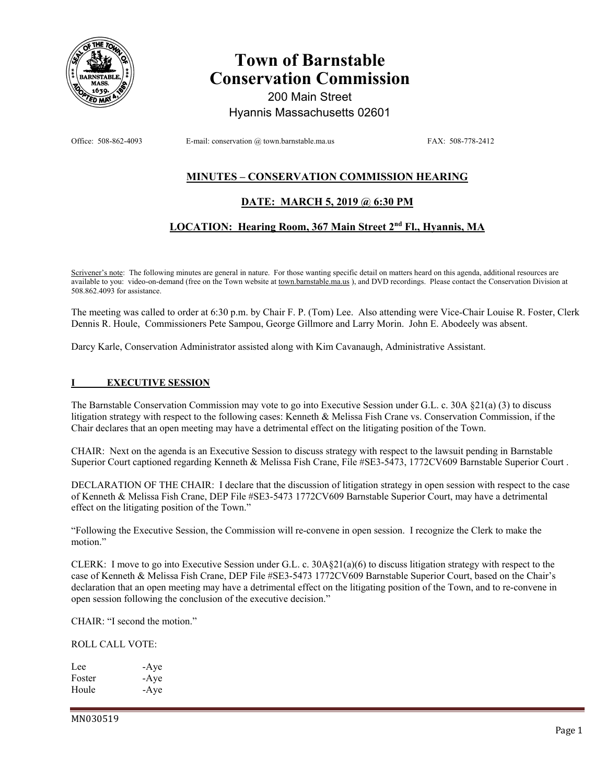

# **Town of Barnstable Conservation Commission**

200 Main Street Hyannis Massachusetts 02601

Office: 508-862-4093 E-mail: conservation @ town.barnstable.ma.us FAX: 508-778-2412

# **MINUTES – CONSERVATION COMMISSION HEARING**

# **DATE: MARCH 5, 2019 @ 6:30 PM**

# **LOCATION: Hearing Room, 367 Main Street 2nd Fl., Hyannis, MA**

Scrivener's note: The following minutes are general in nature. For those wanting specific detail on matters heard on this agenda, additional resources are available to you: video-on-demand (free on the Town website at town.barnstable.ma.us), and DVD recordings. Please contact the Conservation Division at 508.862.4093 for assistance.

The meeting was called to order at 6:30 p.m. by Chair F. P. (Tom) Lee. Also attending were Vice-Chair Louise R. Foster, Clerk Dennis R. Houle, Commissioners Pete Sampou, George Gillmore and Larry Morin. John E. Abodeely was absent.

Darcy Karle, Conservation Administrator assisted along with Kim Cavanaugh, Administrative Assistant.

## **I EXECUTIVE SESSION**

The Barnstable Conservation Commission may vote to go into Executive Session under G.L. c. 30A §21(a) (3) to discuss litigation strategy with respect to the following cases: Kenneth & Melissa Fish Crane vs. Conservation Commission, if the Chair declares that an open meeting may have a detrimental effect on the litigating position of the Town.

CHAIR: Next on the agenda is an Executive Session to discuss strategy with respect to the lawsuit pending in Barnstable Superior Court captioned regarding Kenneth & Melissa Fish Crane, File #SE3-5473, 1772CV609 Barnstable Superior Court .

DECLARATION OF THE CHAIR: I declare that the discussion of litigation strategy in open session with respect to the case of Kenneth & Melissa Fish Crane, DEP File #SE3-5473 1772CV609 Barnstable Superior Court, may have a detrimental effect on the litigating position of the Town."

"Following the Executive Session, the Commission will re-convene in open session. I recognize the Clerk to make the motion."

CLERK: I move to go into Executive Session under G.L. c. 30A§21(a)(6) to discuss litigation strategy with respect to the case of Kenneth & Melissa Fish Crane, DEP File #SE3-5473 1772CV609 Barnstable Superior Court, based on the Chair's declaration that an open meeting may have a detrimental effect on the litigating position of the Town, and to re-convene in open session following the conclusion of the executive decision."

CHAIR: "I second the motion."

ROLL CALL VOTE:

Lee -Aye Foster -Aye Houle -Aye

MN030519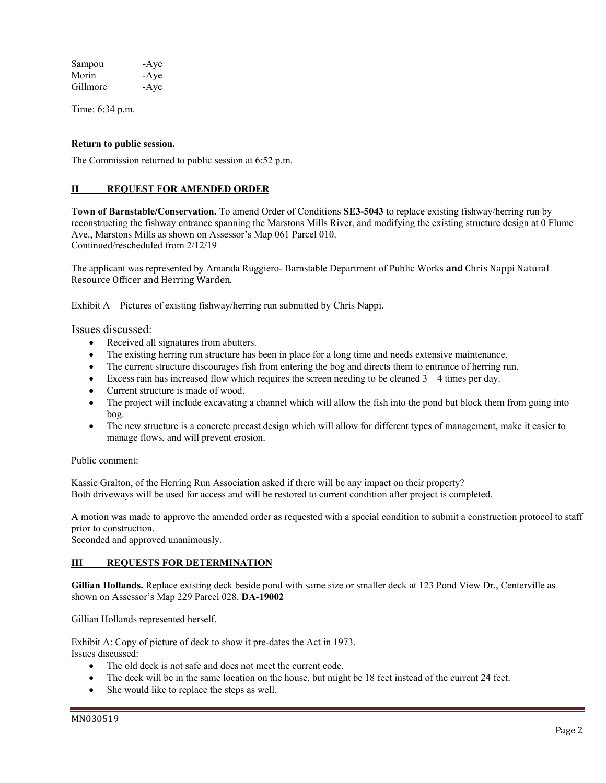| Sampou   | -Aye |
|----------|------|
| Morin    | -Aye |
| Gillmore | -Aye |

Time: 6:34 p.m.

#### **Return to public session.**

The Commission returned to public session at 6:52 p.m.

#### **II REQUEST FOR AMENDED ORDER**

**Town of Barnstable/Conservation.** To amend Order of Conditions **SE3-5043** to replace existing fishway/herring run by reconstructing the fishway entrance spanning the Marstons Mills River, and modifying the existing structure design at 0 Flume Ave., Marstons Mills as shown on Assessor's Map 061 Parcel 010. Continued/rescheduled from 2/12/19

The applicant was represented by Amanda Ruggiero- Barnstable Department of Public Works **and** Chris Nappi Natural Resource Officer and Herring Warden.

Exhibit A – Pictures of existing fishway/herring run submitted by Chris Nappi.

Issues discussed:

- Received all signatures from abutters.
- The existing herring run structure has been in place for a long time and needs extensive maintenance.
- The current structure discourages fish from entering the bog and directs them to entrance of herring run.
- Excess rain has increased flow which requires the screen needing to be cleaned  $3 4$  times per day.
- Current structure is made of wood.
- The project will include excavating a channel which will allow the fish into the pond but block them from going into bog.
- The new structure is a concrete precast design which will allow for different types of management, make it easier to manage flows, and will prevent erosion.

Public comment:

Kassie Gralton, of the Herring Run Association asked if there will be any impact on their property? Both driveways will be used for access and will be restored to current condition after project is completed.

A motion was made to approve the amended order as requested with a special condition to submit a construction protocol to staff prior to construction.

Seconded and approved unanimously.

## **III** REQUESTS FOR DETERMINATION

**Gillian Hollands.** Replace existing deck beside pond with same size or smaller deck at 123 Pond View Dr., Centerville as shown on Assessor's Map 229 Parcel 028. **DA-19002** 

Gillian Hollands represented herself.

Exhibit A: Copy of picture of deck to show it pre-dates the Act in 1973. Issues discussed:

- The old deck is not safe and does not meet the current code.
- The deck will be in the same location on the house, but might be 18 feet instead of the current 24 feet.
- She would like to replace the steps as well.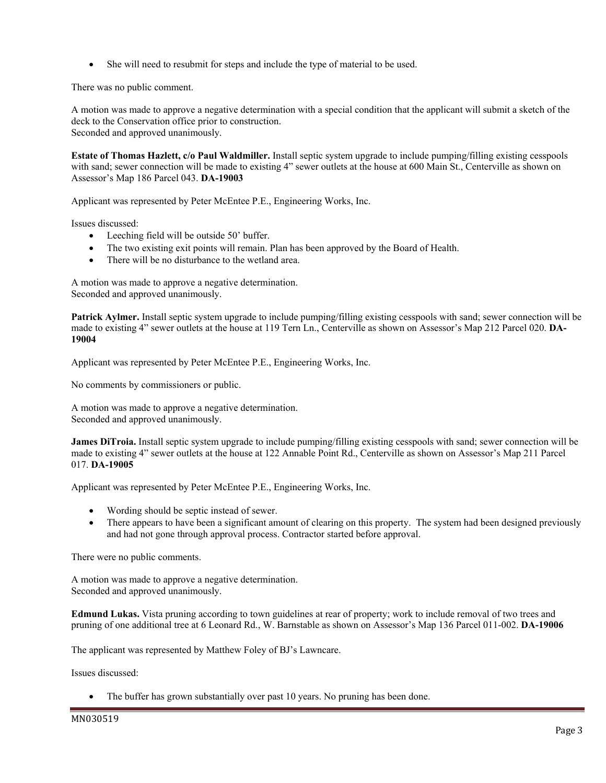She will need to resubmit for steps and include the type of material to be used.

There was no public comment.

A motion was made to approve a negative determination with a special condition that the applicant will submit a sketch of the deck to the Conservation office prior to construction. Seconded and approved unanimously.

**Estate of Thomas Hazlett, c/o Paul Waldmiller.** Install septic system upgrade to include pumping/filling existing cesspools with sand; sewer connection will be made to existing 4" sewer outlets at the house at 600 Main St., Centerville as shown on Assessor's Map 186 Parcel 043. **DA-19003** 

Applicant was represented by Peter McEntee P.E., Engineering Works, Inc.

Issues discussed:

- Leeching field will be outside 50' buffer.
- The two existing exit points will remain. Plan has been approved by the Board of Health.
- There will be no disturbance to the wetland area.

A motion was made to approve a negative determination. Seconded and approved unanimously.

**Patrick Aylmer.** Install septic system upgrade to include pumping/filling existing cesspools with sand; sewer connection will be made to existing 4" sewer outlets at the house at 119 Tern Ln., Centerville as shown on Assessor's Map 212 Parcel 020. **DA-19004** 

Applicant was represented by Peter McEntee P.E., Engineering Works, Inc.

No comments by commissioners or public.

A motion was made to approve a negative determination. Seconded and approved unanimously.

**James DiTroia.** Install septic system upgrade to include pumping/filling existing cesspools with sand; sewer connection will be made to existing 4" sewer outlets at the house at 122 Annable Point Rd., Centerville as shown on Assessor's Map 211 Parcel 017. **DA-19005** 

Applicant was represented by Peter McEntee P.E., Engineering Works, Inc.

- Wording should be septic instead of sewer.
- There appears to have been a significant amount of clearing on this property. The system had been designed previously and had not gone through approval process. Contractor started before approval.

There were no public comments.

A motion was made to approve a negative determination. Seconded and approved unanimously.

**Edmund Lukas.** Vista pruning according to town guidelines at rear of property; work to include removal of two trees and pruning of one additional tree at 6 Leonard Rd., W. Barnstable as shown on Assessor's Map 136 Parcel 011-002. **DA-19006** 

The applicant was represented by Matthew Foley of BJ's Lawncare.

Issues discussed:

The buffer has grown substantially over past 10 years. No pruning has been done.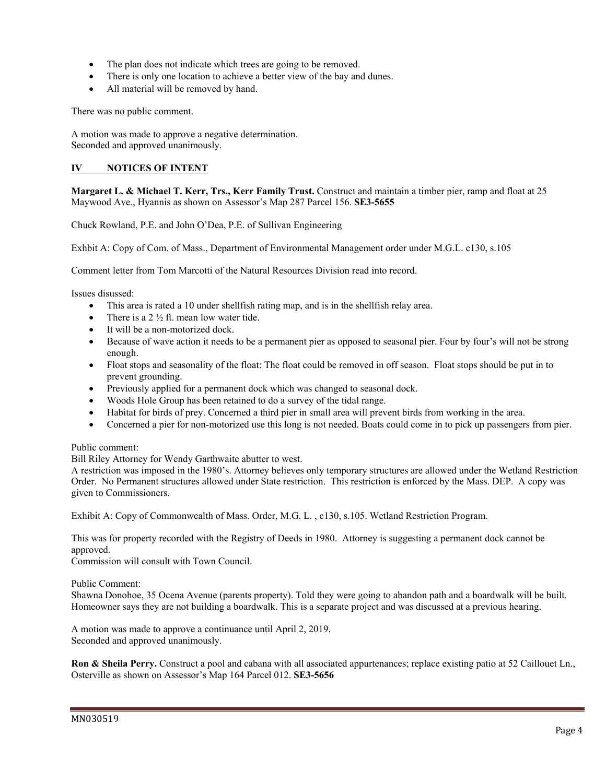- The plan does not indicate which trees are going to be removed.
- There is only one location to achieve a better view of the bay and dunes.
- All material will be removed by hand.

There was no public comment.

A motion was made to approve a negative determination. Seconded and approved unanimously.

## **IV NOTICES OF INTENT**

**Margaret L. & Michael T. Kerr, Trs., Kerr Family Trust.** Construct and maintain a timber pier, ramp and float at 25 Maywood Ave., Hyannis as shown on Assessor's Map 287 Parcel 156. **SE3-5655** 

Chuck Rowland, P.E. and John O'Dea, P.E. of Sullivan Engineering

Exhbit A: Copy of Com. of Mass., Department of Environmental Management order under M.G.L. c130, s.105

Comment letter from Tom Marcotti of the Natural Resources Division read into record.

Issues disussed:

- This area is rated a 10 under shellfish rating map, and is in the shellfish relay area.
- There is a  $2\frac{1}{2}$  ft. mean low water tide.
- It will be a non-motorized dock.
- Because of wave action it needs to be a permanent pier as opposed to seasonal pier. Four by four's will not be strong enough.
- Float stops and seasonality of the float: The float could be removed in off season. Float stops should be put in to prevent grounding.
- Previously applied for a permanent dock which was changed to seasonal dock.
- Woods Hole Group has been retained to do a survey of the tidal range.
- Habitat for birds of prey. Concerned a third pier in small area will prevent birds from working in the area.
- Concerned a pier for non-motorized use this long is not needed. Boats could come in to pick up passengers from pier.

Public comment:

Bill Riley Attorney for Wendy Garthwaite abutter to west.

A restriction was imposed in the 1980's. Attorney believes only temporary structures are allowed under the Wetland Restriction Order. No Permanent structures allowed under State restriction. This restriction is enforced by the Mass. DEP. A copy was given to Commissioners.

Exhibit A: Copy of Commonwealth of Mass. Order, M.G. L. , c130, s.105. Wetland Restriction Program.

This was for property recorded with the Registry of Deeds in 1980. Attorney is suggesting a permanent dock cannot be approved.

Commission will consult with Town Council.

Public Comment:

Shawna Donohoe, 35 Ocena Avenue (parents property). Told they were going to abandon path and a boardwalk will be built. Homeowner says they are not building a boardwalk. This is a separate project and was discussed at a previous hearing.

A motion was made to approve a continuance until April 2, 2019. Seconded and approved unanimously.

**Ron & Sheila Perry.** Construct a pool and cabana with all associated appurtenances; replace existing patio at 52 Caillouet Ln., Osterville as shown on Assessor's Map 164 Parcel 012. **SE3-5656**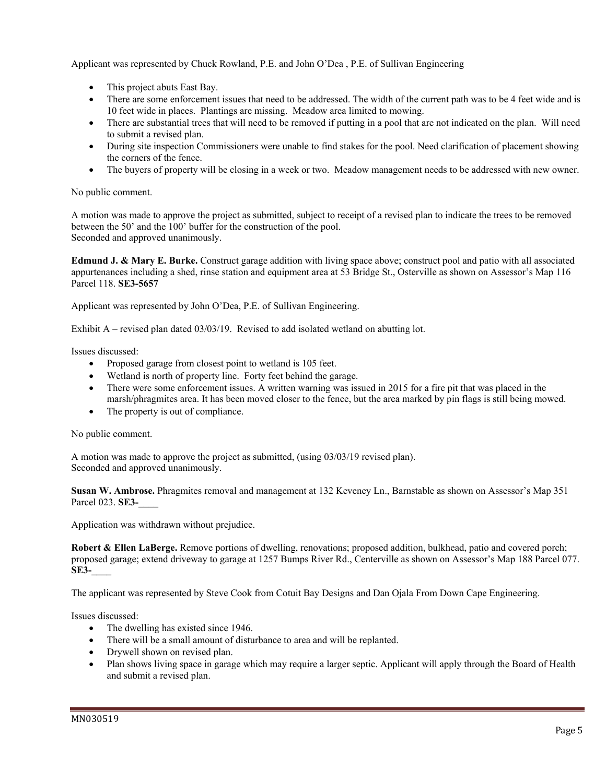Applicant was represented by Chuck Rowland, P.E. and John O'Dea , P.E. of Sullivan Engineering

- This project abuts East Bay.
- There are some enforcement issues that need to be addressed. The width of the current path was to be 4 feet wide and is 10 feet wide in places. Plantings are missing. Meadow area limited to mowing.
- There are substantial trees that will need to be removed if putting in a pool that are not indicated on the plan. Will need to submit a revised plan.
- During site inspection Commissioners were unable to find stakes for the pool. Need clarification of placement showing the corners of the fence.
- The buyers of property will be closing in a week or two. Meadow management needs to be addressed with new owner.

## No public comment.

A motion was made to approve the project as submitted, subject to receipt of a revised plan to indicate the trees to be removed between the 50' and the 100' buffer for the construction of the pool. Seconded and approved unanimously.

**Edmund J. & Mary E. Burke.** Construct garage addition with living space above; construct pool and patio with all associated appurtenances including a shed, rinse station and equipment area at 53 Bridge St., Osterville as shown on Assessor's Map 116 Parcel 118. **SE3-5657** 

Applicant was represented by John O'Dea, P.E. of Sullivan Engineering.

Exhibit A – revised plan dated 03/03/19. Revised to add isolated wetland on abutting lot.

Issues discussed:

- Proposed garage from closest point to wetland is 105 feet.
- Wetland is north of property line. Forty feet behind the garage.
- There were some enforcement issues. A written warning was issued in 2015 for a fire pit that was placed in the marsh/phragmites area. It has been moved closer to the fence, but the area marked by pin flags is still being mowed.
- The property is out of compliance.

## No public comment.

A motion was made to approve the project as submitted, (using 03/03/19 revised plan). Seconded and approved unanimously.

**Susan W. Ambrose.** Phragmites removal and management at 132 Keveney Ln., Barnstable as shown on Assessor's Map 351 Parcel 023. **SE3-\_\_\_\_** 

Application was withdrawn without prejudice.

**Robert & Ellen LaBerge.** Remove portions of dwelling, renovations; proposed addition, bulkhead, patio and covered porch; proposed garage; extend driveway to garage at 1257 Bumps River Rd., Centerville as shown on Assessor's Map 188 Parcel 077. **SE3-\_\_\_\_** 

The applicant was represented by Steve Cook from Cotuit Bay Designs and Dan Ojala From Down Cape Engineering.

Issues discussed:

- The dwelling has existed since 1946.
- There will be a small amount of disturbance to area and will be replanted.
- Drywell shown on revised plan.
- Plan shows living space in garage which may require a larger septic. Applicant will apply through the Board of Health and submit a revised plan.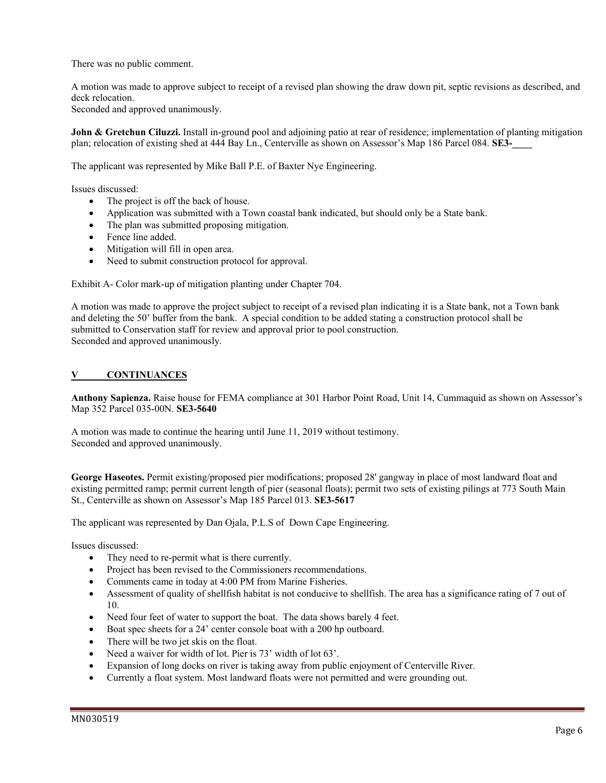There was no public comment.

A motion was made to approve subject to receipt of a revised plan showing the draw down pit, septic revisions as described, and deck relocation.

Seconded and approved unanimously.

**John & Gretchun Ciluzzi.** Install in-ground pool and adjoining patio at rear of residence; implementation of planting mitigation plan; relocation of existing shed at 444 Bay Ln., Centerville as shown on Assessor's Map 186 Parcel 084. **SE3-**

The applicant was represented by Mike Ball P.E. of Baxter Nye Engineering.

Issues discussed:

- The project is off the back of house.
- Application was submitted with a Town coastal bank indicated, but should only be a State bank.
- The plan was submitted proposing mitigation.
- Fence line added.
- Mitigation will fill in open area.
- Need to submit construction protocol for approval.

Exhibit A- Color mark-up of mitigation planting under Chapter 704.

A motion was made to approve the project subject to receipt of a revised plan indicating it is a State bank, not a Town bank and deleting the 50' buffer from the bank. A special condition to be added stating a construction protocol shall be submitted to Conservation staff for review and approval prior to pool construction. Seconded and approved unanimously.

## **V CONTINUANCES**

**Anthony Sapienza.** Raise house for FEMA compliance at 301 Harbor Point Road, Unit 14, Cummaquid as shown on Assessor's Map 352 Parcel 035-00N. **SE3-5640**

A motion was made to continue the hearing until June 11, 2019 without testimony. Seconded and approved unanimously.

**George Haseotes.** Permit existing/proposed pier modifications; proposed 28' gangway in place of most landward float and existing permitted ramp; permit current length of pier (seasonal floats); permit two sets of existing pilings at 773 South Main St., Centerville as shown on Assessor's Map 185 Parcel 013. **SE3-5617** 

The applicant was represented by Dan Ojala, P.L.S of Down Cape Engineering.

Issues discussed:

- They need to re-permit what is there currently.
- Project has been revised to the Commissioners recommendations.
- Comments came in today at 4:00 PM from Marine Fisheries.
- Assessment of quality of shellfish habitat is not conducive to shellfish. The area has a significance rating of 7 out of 10.
- Need four feet of water to support the boat. The data shows barely 4 feet.
- Boat spec sheets for a 24' center console boat with a 200 hp outboard.
- There will be two jet skis on the float.
- Need a waiver for width of lot. Pier is 73' width of lot 63'.
- Expansion of long docks on river is taking away from public enjoyment of Centerville River.
- Currently a float system. Most landward floats were not permitted and were grounding out.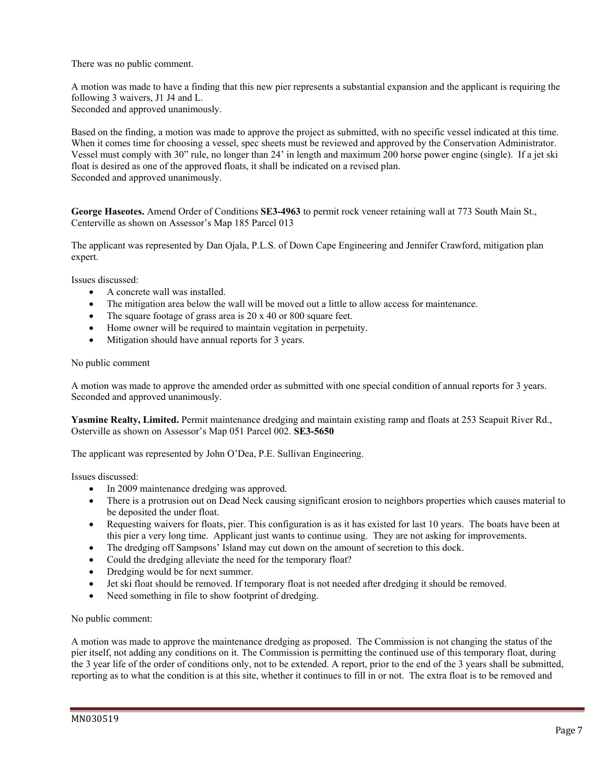There was no public comment.

A motion was made to have a finding that this new pier represents a substantial expansion and the applicant is requiring the following 3 waivers, J1 J4 and L. Seconded and approved unanimously.

Based on the finding, a motion was made to approve the project as submitted, with no specific vessel indicated at this time. When it comes time for choosing a vessel, spec sheets must be reviewed and approved by the Conservation Administrator. Vessel must comply with 30" rule, no longer than 24' in length and maximum 200 horse power engine (single). If a jet ski float is desired as one of the approved floats, it shall be indicated on a revised plan. Seconded and approved unanimously.

**George Haseotes.** Amend Order of Conditions **SE3-4963** to permit rock veneer retaining wall at 773 South Main St., Centerville as shown on Assessor's Map 185 Parcel 013

The applicant was represented by Dan Ojala, P.L.S. of Down Cape Engineering and Jennifer Crawford, mitigation plan expert.

Issues discussed:

- A concrete wall was installed.
- The mitigation area below the wall will be moved out a little to allow access for maintenance.
- The square footage of grass area is 20 x 40 or 800 square feet.
- Home owner will be required to maintain vegitation in perpetuity.
- Mitigation should have annual reports for 3 years.

#### No public comment

A motion was made to approve the amended order as submitted with one special condition of annual reports for 3 years. Seconded and approved unanimously.

**Yasmine Realty, Limited.** Permit maintenance dredging and maintain existing ramp and floats at 253 Seapuit River Rd., Osterville as shown on Assessor's Map 051 Parcel 002. **SE3-5650** 

The applicant was represented by John O'Dea, P.E. Sullivan Engineering.

Issues discussed:

- In 2009 maintenance dredging was approved.
- There is a protrusion out on Dead Neck causing significant erosion to neighbors properties which causes material to be deposited the under float.
- Requesting waivers for floats, pier. This configuration is as it has existed for last 10 years. The boats have been at this pier a very long time. Applicant just wants to continue using. They are not asking for improvements.
- The dredging off Sampsons' Island may cut down on the amount of secretion to this dock.
- Could the dredging alleviate the need for the temporary float?
- Dredging would be for next summer.
- Jet ski float should be removed. If temporary float is not needed after dredging it should be removed.
- Need something in file to show footprint of dredging.

#### No public comment:

A motion was made to approve the maintenance dredging as proposed. The Commission is not changing the status of the pier itself, not adding any conditions on it. The Commission is permitting the continued use of this temporary float, during the 3 year life of the order of conditions only, not to be extended. A report, prior to the end of the 3 years shall be submitted, reporting as to what the condition is at this site, whether it continues to fill in or not. The extra float is to be removed and